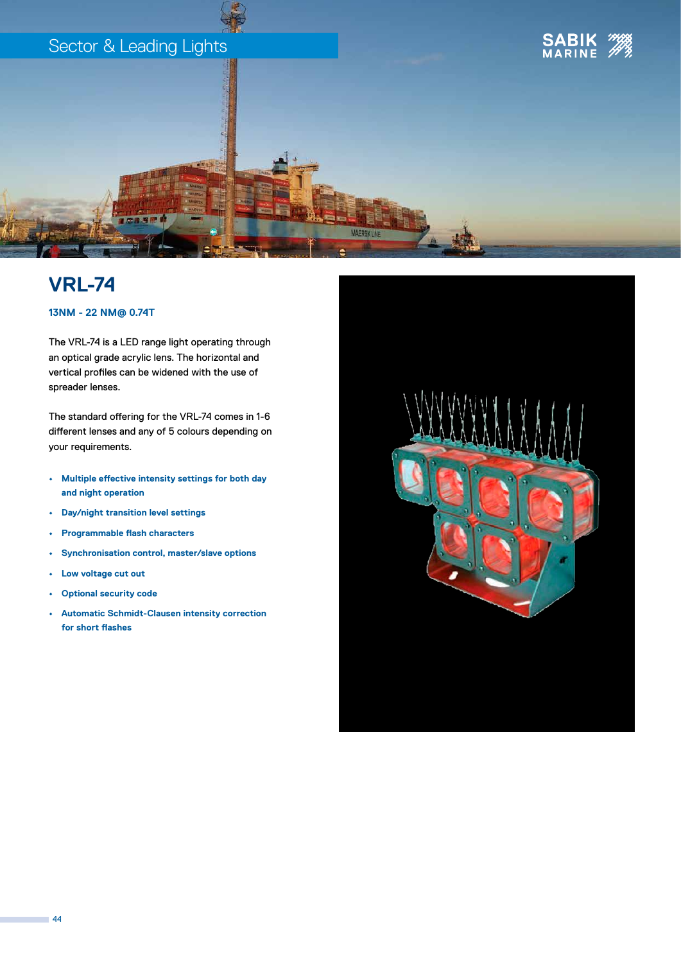

## **VRL-74**

### **13NM - 22 NM@ 0.74T**

The VRL-74 is a LED range light operating through an optical grade acrylic lens. The horizontal and vertical profiles can be widened with the use of spreader lenses.

The standard offering for the VRL-74 comes in 1-6 different lenses and any of 5 colours depending on your requirements.

- **• Multiple effective intensity settings for both day and night operation**
- **• Day/night transition level settings**
- **• Programmable flash characters**
- **• Synchronisation control, master/slave options**
- **• Low voltage cut out**
- **• Optional security code**
- **• Automatic Schmidt-Clausen intensity correction for short flashes**